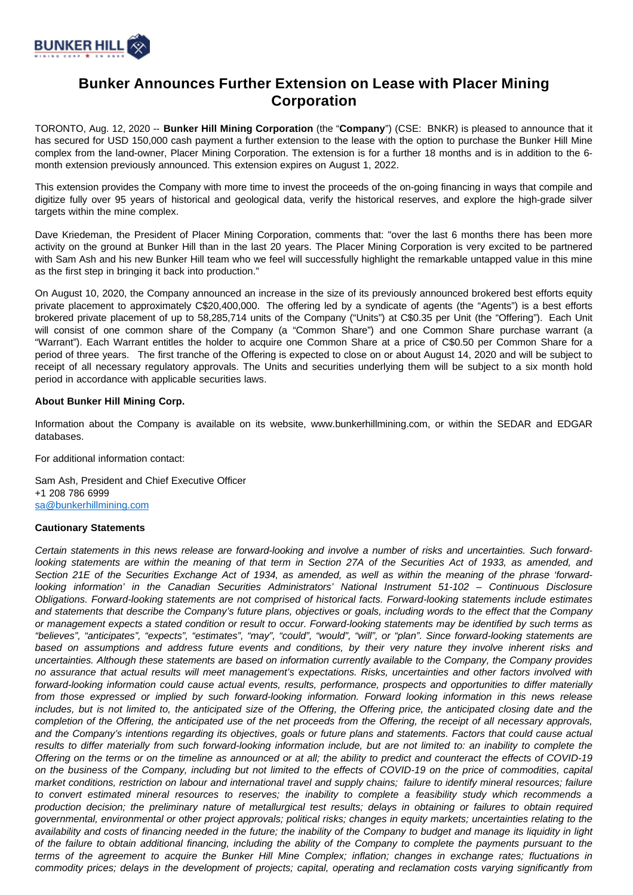

## **Bunker Announces Further Extension on Lease with Placer Mining Corporation**

TORONTO, Aug. 12, 2020 -- **Bunker Hill Mining Corporation** (the "**Company**") (CSE: BNKR) is pleased to announce that it has secured for USD 150,000 cash payment a further extension to the lease with the option to purchase the Bunker Hill Mine complex from the land-owner, Placer Mining Corporation. The extension is for a further 18 months and is in addition to the 6 month extension previously announced. This extension expires on August 1, 2022.

This extension provides the Company with more time to invest the proceeds of the on-going financing in ways that compile and digitize fully over 95 years of historical and geological data, verify the historical reserves, and explore the high-grade silver targets within the mine complex.

Dave Kriedeman, the President of Placer Mining Corporation, comments that: "over the last 6 months there has been more activity on the ground at Bunker Hill than in the last 20 years. The Placer Mining Corporation is very excited to be partnered with Sam Ash and his new Bunker Hill team who we feel will successfully highlight the remarkable untapped value in this mine as the first step in bringing it back into production."

On August 10, 2020, the Company announced an increase in the size of its previously announced brokered best efforts equity private placement to approximately C\$20,400,000. The offering led by a syndicate of agents (the "Agents") is a best efforts brokered private placement of up to 58,285,714 units of the Company ("Units") at C\$0.35 per Unit (the "Offering"). Each Unit will consist of one common share of the Company (a "Common Share") and one Common Share purchase warrant (a "Warrant"). Each Warrant entitles the holder to acquire one Common Share at a price of C\$0.50 per Common Share for a period of three years. The first tranche of the Offering is expected to close on or about August 14, 2020 and will be subject to receipt of all necessary regulatory approvals. The Units and securities underlying them will be subject to a six month hold period in accordance with applicable securities laws.

## **About Bunker Hill Mining Corp.**

Information about the Company is available on its website, www.bunkerhillmining.com, or within the SEDAR and EDGAR databases.

For additional information contact:

Sam Ash, President and Chief Executive Officer +1 208 786 6999 [sa@bunkerhillmining.com](mailto:sa@bunkerhillmining.com)

## **Cautionary Statements**

Certain statements in this news release are forward-looking and involve a number of risks and uncertainties. Such forwardlooking statements are within the meaning of that term in Section 27A of the Securities Act of 1933, as amended, and Section 21E of the Securities Exchange Act of 1934, as amended, as well as within the meaning of the phrase 'forwardlooking information' in the Canadian Securities Administrators' National Instrument 51-102 – Continuous Disclosure Obligations. Forward-looking statements are not comprised of historical facts. Forward-looking statements include estimates and statements that describe the Company's future plans, objectives or goals, including words to the effect that the Company or management expects a stated condition or result to occur. Forward-looking statements may be identified by such terms as "believes", "anticipates", "expects", "estimates", "may", "could", "would", "will", or "plan". Since forward-looking statements are based on assumptions and address future events and conditions, by their very nature they involve inherent risks and uncertainties. Although these statements are based on information currently available to the Company, the Company provides no assurance that actual results will meet management's expectations. Risks, uncertainties and other factors involved with forward-looking information could cause actual events, results, performance, prospects and opportunities to differ materially from those expressed or implied by such forward-looking information. Forward looking information in this news release includes, but is not limited to, the anticipated size of the Offering, the Offering price, the anticipated closing date and the completion of the Offering, the anticipated use of the net proceeds from the Offering, the receipt of all necessary approvals, and the Company's intentions regarding its objectives, goals or future plans and statements. Factors that could cause actual results to differ materially from such forward-looking information include, but are not limited to: an inability to complete the Offering on the terms or on the timeline as announced or at all; the ability to predict and counteract the effects of COVID-19 on the business of the Company, including but not limited to the effects of COVID-19 on the price of commodities, capital market conditions, restriction on labour and international travel and supply chains; failure to identify mineral resources; failure to convert estimated mineral resources to reserves; the inability to complete a feasibility study which recommends a production decision; the preliminary nature of metallurgical test results; delays in obtaining or failures to obtain required governmental, environmental or other project approvals; political risks; changes in equity markets; uncertainties relating to the availability and costs of financing needed in the future; the inability of the Company to budget and manage its liquidity in light of the failure to obtain additional financing, including the ability of the Company to complete the payments pursuant to the terms of the agreement to acquire the Bunker Hill Mine Complex; inflation; changes in exchange rates; fluctuations in commodity prices; delays in the development of projects; capital, operating and reclamation costs varying significantly from